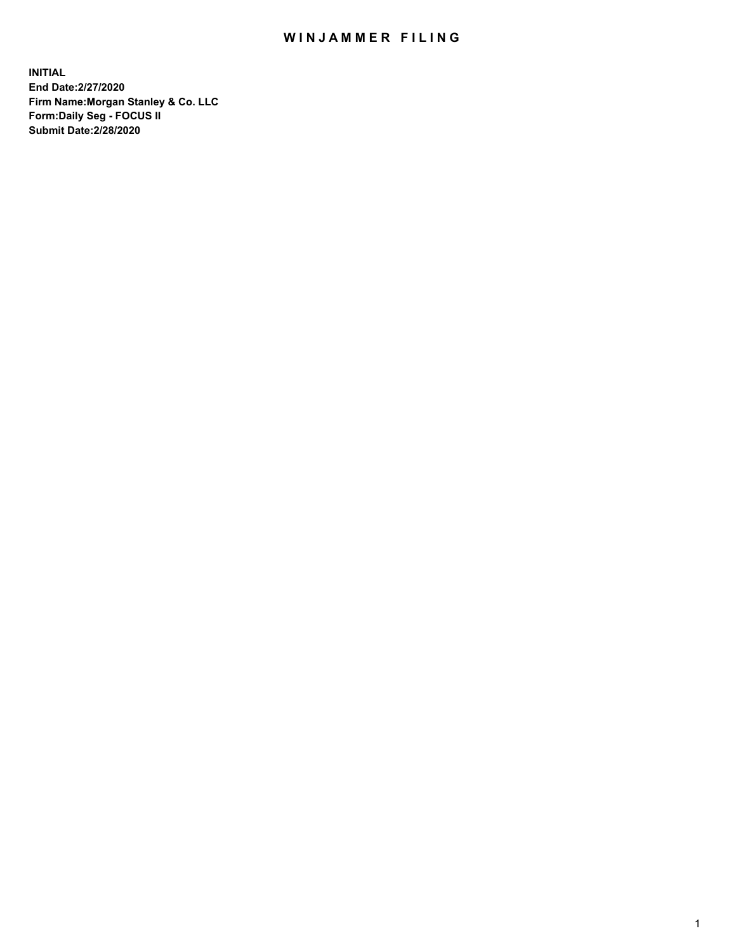## WIN JAMMER FILING

**INITIAL End Date:2/27/2020 Firm Name:Morgan Stanley & Co. LLC Form:Daily Seg - FOCUS II Submit Date:2/28/2020**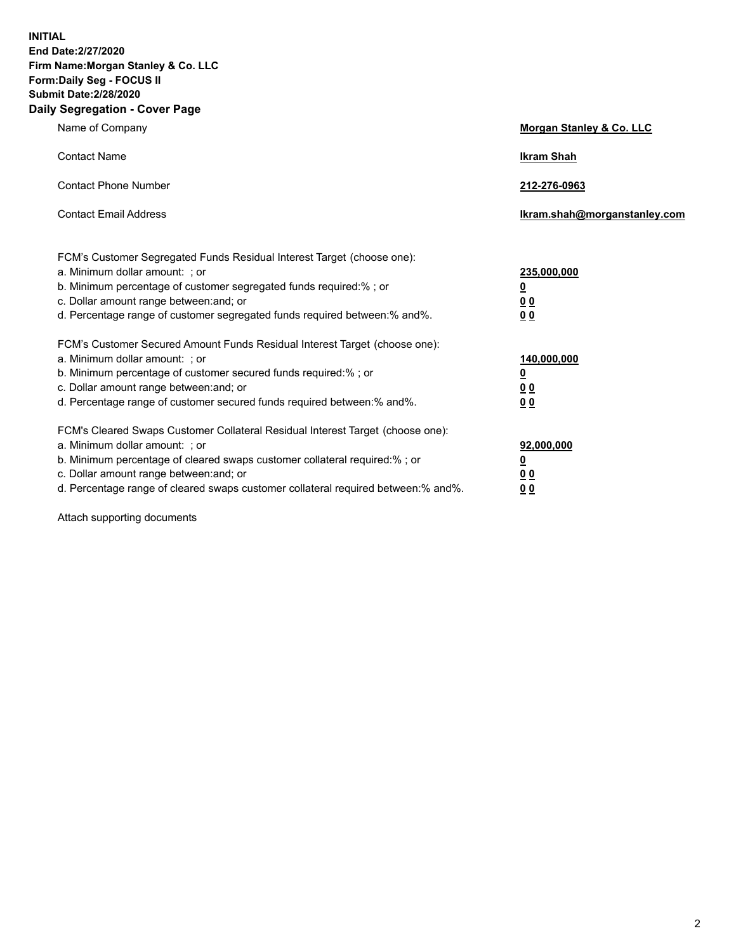**INITIAL End Date:2/27/2020 Firm Name:Morgan Stanley & Co. LLC Form:Daily Seg - FOCUS II Submit Date:2/28/2020 Daily Segregation - Cover Page**

| Name of Company                                                                                                                                                                                                                                                                                                                | Morgan Stanley & Co. LLC                                |
|--------------------------------------------------------------------------------------------------------------------------------------------------------------------------------------------------------------------------------------------------------------------------------------------------------------------------------|---------------------------------------------------------|
| <b>Contact Name</b>                                                                                                                                                                                                                                                                                                            | <b>Ikram Shah</b>                                       |
| <b>Contact Phone Number</b>                                                                                                                                                                                                                                                                                                    | 212-276-0963                                            |
| <b>Contact Email Address</b>                                                                                                                                                                                                                                                                                                   | Ikram.shah@morganstanley.com                            |
| FCM's Customer Segregated Funds Residual Interest Target (choose one):<br>a. Minimum dollar amount: ; or<br>b. Minimum percentage of customer segregated funds required:% ; or<br>c. Dollar amount range between: and; or<br>d. Percentage range of customer segregated funds required between:% and%.                         | 235,000,000<br><u>0</u><br><u>00</u><br><u>00</u>       |
| FCM's Customer Secured Amount Funds Residual Interest Target (choose one):<br>a. Minimum dollar amount: ; or<br>b. Minimum percentage of customer secured funds required:%; or<br>c. Dollar amount range between: and; or<br>d. Percentage range of customer secured funds required between:% and%.                            | 140,000,000<br><u>0</u><br><u>0 0</u><br>0 <sub>0</sub> |
| FCM's Cleared Swaps Customer Collateral Residual Interest Target (choose one):<br>a. Minimum dollar amount: ; or<br>b. Minimum percentage of cleared swaps customer collateral required:% ; or<br>c. Dollar amount range between: and; or<br>d. Percentage range of cleared swaps customer collateral required between:% and%. | 92,000,000<br><u>0</u><br><u>00</u><br>00               |

Attach supporting documents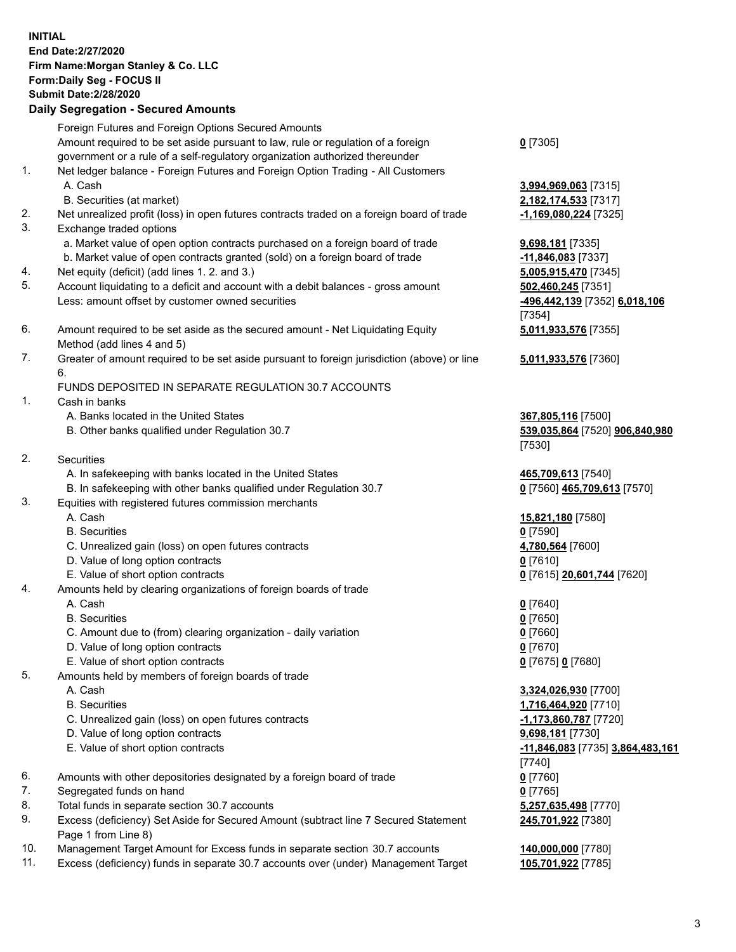## **INITIAL End Date:2/27/2020 Firm Name:Morgan Stanley & Co. LLC Form:Daily Seg - FOCUS II Submit Date:2/28/2020 Daily Segregation - Secured Amounts** Foreign Futures and Foreign Options Secured Amounts Amount required to be set aside pursuant to law, rule or regulation of a foreign government or a rule of a self-regulatory organization authorized thereunder **0** [7305] 1. Net ledger balance - Foreign Futures and Foreign Option Trading - All Customers A. Cash **3,994,969,063** [7315] B. Securities (at market) **2,182,174,533** [7317] 2. Net unrealized profit (loss) in open futures contracts traded on a foreign board of trade **-1,169,080,224** [7325] 3. Exchange traded options a. Market value of open option contracts purchased on a foreign board of trade **9,698,181** [7335] b. Market value of open contracts granted (sold) on a foreign board of trade **-11,846,083** [7337] 4. Net equity (deficit) (add lines 1. 2. and 3.) **5,005,915,470** [7345] 5. Account liquidating to a deficit and account with a debit balances - gross amount **502,460,245** [7351] Less: amount offset by customer owned securities **-496,442,139** [7352] **6,018,106** [7354] 6. Amount required to be set aside as the secured amount - Net Liquidating Equity Method (add lines 4 and 5) **5,011,933,576** [7355] 7. Greater of amount required to be set aside pursuant to foreign jurisdiction (above) or line 6. **5,011,933,576** [7360] FUNDS DEPOSITED IN SEPARATE REGULATION 30.7 ACCOUNTS 1. Cash in banks A. Banks located in the United States **367,805,116** [7500] B. Other banks qualified under Regulation 30.7 **539,035,864** [7520] **906,840,980** [7530] 2. Securities A. In safekeeping with banks located in the United States **465,709,613** [7540] B. In safekeeping with other banks qualified under Regulation 30.7 **0** [7560] **465,709,613** [7570] 3. Equities with registered futures commission merchants A. Cash **15,821,180** [7580] B. Securities **0** [7590] C. Unrealized gain (loss) on open futures contracts **4,780,564** [7600] D. Value of long option contracts **0** [7610] E. Value of short option contracts **0** [7615] **20,601,744** [7620] 4. Amounts held by clearing organizations of foreign boards of trade A. Cash **0** [7640] B. Securities **0** [7650] C. Amount due to (from) clearing organization - daily variation **0** [7660] D. Value of long option contracts **0** [7670] E. Value of short option contracts **0** [7675] **0** [7680] 5. Amounts held by members of foreign boards of trade A. Cash **3,324,026,930** [7700] B. Securities **1,716,464,920** [7710] C. Unrealized gain (loss) on open futures contracts **-1,173,860,787** [7720] D. Value of long option contracts **9,698,181** [7730] E. Value of short option contracts **-11,846,083** [7735] **3,864,483,161** [7740] 6. Amounts with other depositories designated by a foreign board of trade **0** [7760] 7. Segregated funds on hand **0** [7765] 8. Total funds in separate section 30.7 accounts **5,257,635,498** [7770] 9. Excess (deficiency) Set Aside for Secured Amount (subtract line 7 Secured Statement **245,701,922** [7380]

10. Management Target Amount for Excess funds in separate section 30.7 accounts **140,000,000** [7780]

Page 1 from Line 8)

11. Excess (deficiency) funds in separate 30.7 accounts over (under) Management Target **105,701,922** [7785]

3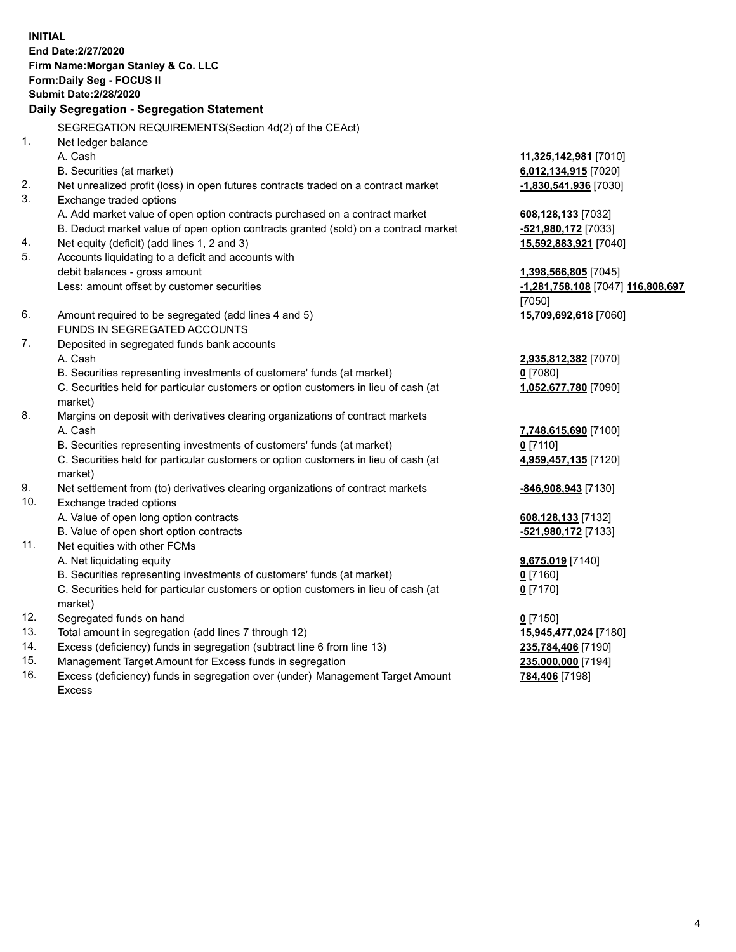**INITIAL End Date:2/27/2020 Firm Name:Morgan Stanley & Co. LLC Form:Daily Seg - FOCUS II Submit Date:2/28/2020 Daily Segregation - Segregation Statement** SEGREGATION REQUIREMENTS(Section 4d(2) of the CEAct) 1. Net ledger balance A. Cash **11,325,142,981** [7010] B. Securities (at market) **6,012,134,915** [7020] 2. Net unrealized profit (loss) in open futures contracts traded on a contract market **-1,830,541,936** [7030] 3. Exchange traded options A. Add market value of open option contracts purchased on a contract market **608,128,133** [7032] B. Deduct market value of open option contracts granted (sold) on a contract market **-521,980,172** [7033] 4. Net equity (deficit) (add lines 1, 2 and 3) **15,592,883,921** [7040] 5. Accounts liquidating to a deficit and accounts with debit balances - gross amount **1,398,566,805** [7045] Less: amount offset by customer securities **-1,281,758,108** [7047] **116,808,697** [7050] 6. Amount required to be segregated (add lines 4 and 5) **15,709,692,618** [7060] FUNDS IN SEGREGATED ACCOUNTS 7. Deposited in segregated funds bank accounts A. Cash **2,935,812,382** [7070] B. Securities representing investments of customers' funds (at market) **0** [7080] C. Securities held for particular customers or option customers in lieu of cash (at market) **1,052,677,780** [7090] 8. Margins on deposit with derivatives clearing organizations of contract markets A. Cash **7,748,615,690** [7100] B. Securities representing investments of customers' funds (at market) **0** [7110] C. Securities held for particular customers or option customers in lieu of cash (at market) **4,959,457,135** [7120] 9. Net settlement from (to) derivatives clearing organizations of contract markets **-846,908,943** [7130] 10. Exchange traded options A. Value of open long option contracts **608,128,133** [7132] B. Value of open short option contracts **and the set of our or the set of our or the set of our or the set of our or the set of our or the set of our or the set of our or the set of our or the set of our or the set of our** 11. Net equities with other FCMs A. Net liquidating equity **9,675,019** [7140] B. Securities representing investments of customers' funds (at market) **0** [7160] C. Securities held for particular customers or option customers in lieu of cash (at market) **0** [7170] 12. Segregated funds on hand **0** [7150] 13. Total amount in segregation (add lines 7 through 12) **15,945,477,024** [7180] 14. Excess (deficiency) funds in segregation (subtract line 6 from line 13) **235,784,406** [7190] 15. Management Target Amount for Excess funds in segregation **235,000,000** [7194]

16. Excess (deficiency) funds in segregation over (under) Management Target Amount Excess

**784,406** [7198]